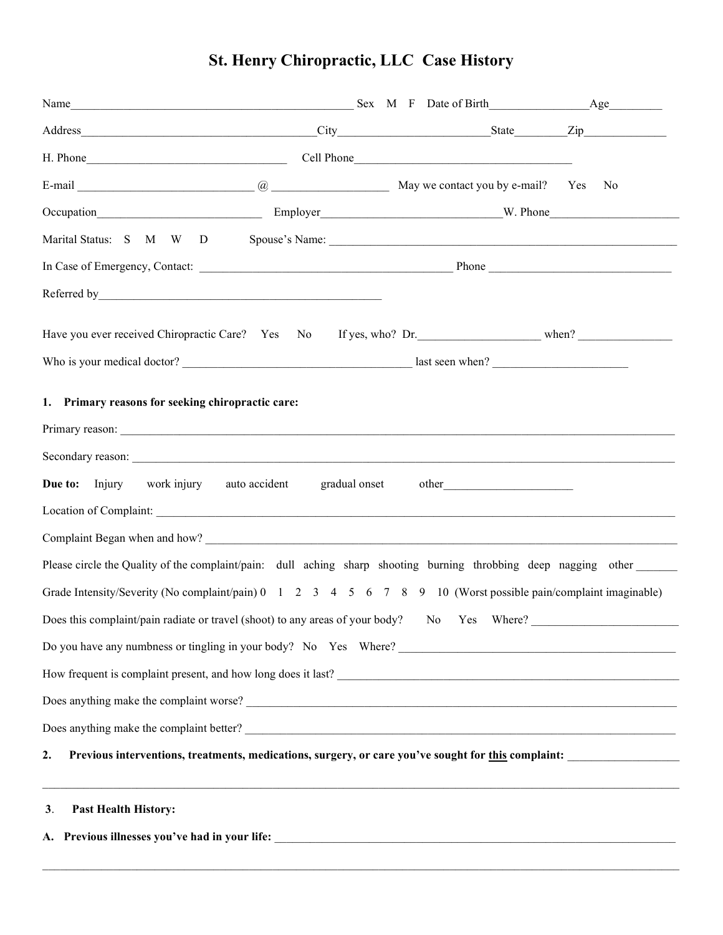|  |  |  | <b>St. Henry Chiropractic, LLC Case History</b> |
|--|--|--|-------------------------------------------------|
|  |  |  |                                                 |

| Name Sex M F Date of Birth Age                                                                                                                                                                                                                                                                                                                                    |                                                                                  |  |  |
|-------------------------------------------------------------------------------------------------------------------------------------------------------------------------------------------------------------------------------------------------------------------------------------------------------------------------------------------------------------------|----------------------------------------------------------------------------------|--|--|
|                                                                                                                                                                                                                                                                                                                                                                   |                                                                                  |  |  |
|                                                                                                                                                                                                                                                                                                                                                                   |                                                                                  |  |  |
| E-mail <u>Constant Communication</u> Communication and May we contact you by e-mail? Yes No                                                                                                                                                                                                                                                                       |                                                                                  |  |  |
| Occupation M. Phone M. Phone M. Phone M. Phone M. Phone M. Phone M. Phone M. Phone M. Phone M. Phone M. Phone M. Phone M. Phone M. Phone M. Phone M. Phone M. Phone M. Phone M. Phone M. Phone M. Phone M. Phone M. Phone M. P                                                                                                                                    |                                                                                  |  |  |
|                                                                                                                                                                                                                                                                                                                                                                   |                                                                                  |  |  |
|                                                                                                                                                                                                                                                                                                                                                                   |                                                                                  |  |  |
|                                                                                                                                                                                                                                                                                                                                                                   |                                                                                  |  |  |
|                                                                                                                                                                                                                                                                                                                                                                   |                                                                                  |  |  |
|                                                                                                                                                                                                                                                                                                                                                                   |                                                                                  |  |  |
| 1. Primary reasons for seeking chiropractic care:                                                                                                                                                                                                                                                                                                                 |                                                                                  |  |  |
| <b>Due to:</b> Injury work injury auto accident gradual onset                                                                                                                                                                                                                                                                                                     |                                                                                  |  |  |
| Please circle the Quality of the complaint/pain: dull aching sharp shooting burning throbbing deep nagging other<br>Grade Intensity/Severity (No complaint/pain) $0 \t 1 \t 2 \t 3 \t 4 \t 5 \t 6 \t 7 \t 8 \t 9 \t 10$ (Worst possible pain/complaint imaginable)<br>Does this complaint/pain radiate or travel (shoot) to any areas of your body? No Yes Where? |                                                                                  |  |  |
|                                                                                                                                                                                                                                                                                                                                                                   |                                                                                  |  |  |
| How frequent is complaint present, and how long does it last?                                                                                                                                                                                                                                                                                                     |                                                                                  |  |  |
|                                                                                                                                                                                                                                                                                                                                                                   |                                                                                  |  |  |
|                                                                                                                                                                                                                                                                                                                                                                   |                                                                                  |  |  |
| Previous interventions, treatments, medications, surgery, or care you've sought for this complaint:<br>2.                                                                                                                                                                                                                                                         |                                                                                  |  |  |
| <b>Past Health History:</b><br>3.                                                                                                                                                                                                                                                                                                                                 | ,我们也不能在这里的时候,我们也不能在这里的时候,我们也不能不能不能不能不能不能不能不能不能不能不能不能不能不能不能。""我们,我们也不能不能不能不能不能不能不 |  |  |
|                                                                                                                                                                                                                                                                                                                                                                   |                                                                                  |  |  |

 $\mathcal{L}_\mathcal{L} = \mathcal{L}_\mathcal{L} = \mathcal{L}_\mathcal{L} = \mathcal{L}_\mathcal{L} = \mathcal{L}_\mathcal{L} = \mathcal{L}_\mathcal{L} = \mathcal{L}_\mathcal{L} = \mathcal{L}_\mathcal{L} = \mathcal{L}_\mathcal{L} = \mathcal{L}_\mathcal{L} = \mathcal{L}_\mathcal{L} = \mathcal{L}_\mathcal{L} = \mathcal{L}_\mathcal{L} = \mathcal{L}_\mathcal{L} = \mathcal{L}_\mathcal{L} = \mathcal{L}_\mathcal{L} = \mathcal{L}_\mathcal{L}$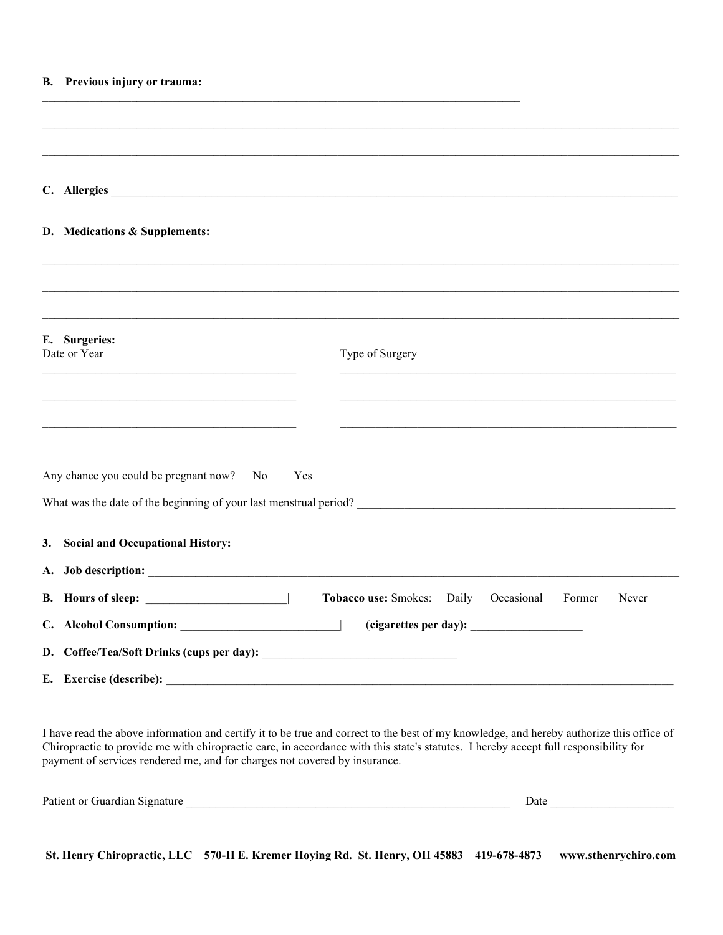|                               | B. Previous injury or trauma:                                                             |
|-------------------------------|-------------------------------------------------------------------------------------------|
|                               |                                                                                           |
|                               | C. Allergies                                                                              |
|                               | D. Medications & Supplements:                                                             |
|                               |                                                                                           |
| E. Surgeries:<br>Date or Year | Type of Surgery                                                                           |
|                               |                                                                                           |
|                               | the control of the control of the control of the control of the control of the control of |
|                               | Any chance you could be pregnant now? No<br>Yes                                           |
| 3.                            | <b>Social and Occupational History:</b>                                                   |
|                               |                                                                                           |
|                               | Tobacco use: Smokes: Daily Occasional<br>Former<br>Never                                  |
|                               |                                                                                           |
|                               |                                                                                           |
|                               | E. Exercise (describe):                                                                   |

I have read the above information and certify it to be true and correct to the best of my knowledge, and hereby authorize this office of Chiropractic to provide me with chiropractic care, in accordance with this state's statutes. I hereby accept full responsibility for payment of services rendered me, and for charges not covered by insurance.

| Patient or Guardian Signature | Jate |
|-------------------------------|------|
|                               |      |

St. Henry Chiropractic, LLC 570-H E. Kremer Hoying Rd. St. Henry, OH 45883 419-678-4873 www.sthenrychiro.com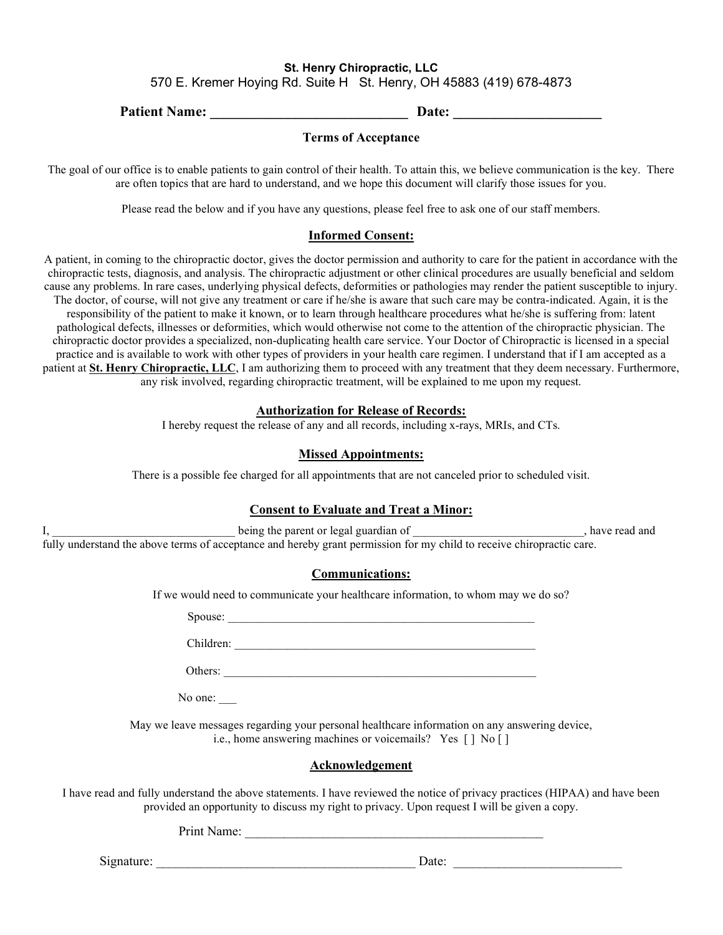# St. Henry Chiropractic, LLC 570 E. Kremer Hoying Rd. Suite H St. Henry, OH 45883 (419) 678-4873

Patient Name: \_\_\_\_\_\_\_\_\_\_\_\_\_\_\_\_\_\_\_\_\_\_\_\_\_\_\_\_ Date: \_\_\_\_\_\_\_\_\_\_\_\_\_\_\_\_\_\_\_\_\_

#### Terms of Acceptance

The goal of our office is to enable patients to gain control of their health. To attain this, we believe communication is the key. There are often topics that are hard to understand, and we hope this document will clarify those issues for you.

Please read the below and if you have any questions, please feel free to ask one of our staff members.

#### Informed Consent:

A patient, in coming to the chiropractic doctor, gives the doctor permission and authority to care for the patient in accordance with the chiropractic tests, diagnosis, and analysis. The chiropractic adjustment or other clinical procedures are usually beneficial and seldom cause any problems. In rare cases, underlying physical defects, deformities or pathologies may render the patient susceptible to injury. The doctor, of course, will not give any treatment or care if he/she is aware that such care may be contra-indicated. Again, it is the responsibility of the patient to make it known, or to learn through healthcare procedures what he/she is suffering from: latent pathological defects, illnesses or deformities, which would otherwise not come to the attention of the chiropractic physician. The chiropractic doctor provides a specialized, non-duplicating health care service. Your Doctor of Chiropractic is licensed in a special practice and is available to work with other types of providers in your health care regimen. I understand that if I am accepted as a patient at St. Henry Chiropractic, LLC, I am authorizing them to proceed with any treatment that they deem necessary. Furthermore, any risk involved, regarding chiropractic treatment, will be explained to me upon my request.

#### Authorization for Release of Records:

I hereby request the release of any and all records, including x-rays, MRIs, and CTs.

# Missed Appointments:

There is a possible fee charged for all appointments that are not canceled prior to scheduled visit.

# Consent to Evaluate and Treat a Minor:

I, \_\_\_\_\_\_\_\_\_\_\_\_\_\_\_\_\_\_\_\_\_\_\_\_\_\_\_\_\_\_\_ being the parent or legal guardian of \_\_\_\_\_\_\_\_\_\_\_\_\_\_\_\_\_\_\_\_\_\_\_\_\_\_\_\_\_, have read and fully understand the above terms of acceptance and hereby grant permission for my child to receive chiropractic care.

# Communications:

If we would need to communicate your healthcare information, to whom may we do so?

Spouse:

Children:

Others: \_\_\_\_\_\_\_\_\_\_\_\_\_\_\_\_\_\_\_\_\_\_\_\_\_\_\_\_\_\_\_\_\_\_\_\_\_\_\_\_\_\_\_\_\_\_\_\_\_\_\_\_\_

No one:

May we leave messages regarding your personal healthcare information on any answering device, i.e., home answering machines or voicemails? Yes [ ] No [ ]

#### Acknowledgement

I have read and fully understand the above statements. I have reviewed the notice of privacy practices (HIPAA) and have been provided an opportunity to discuss my right to privacy. Upon request I will be given a copy.

Print Name:

Signature: \_\_\_\_\_\_\_\_\_\_\_\_\_\_\_\_\_\_\_\_\_\_\_\_\_\_\_\_\_\_\_\_\_\_\_\_\_\_\_\_ Date: \_\_\_\_\_\_\_\_\_\_\_\_\_\_\_\_\_\_\_\_\_\_\_\_\_\_